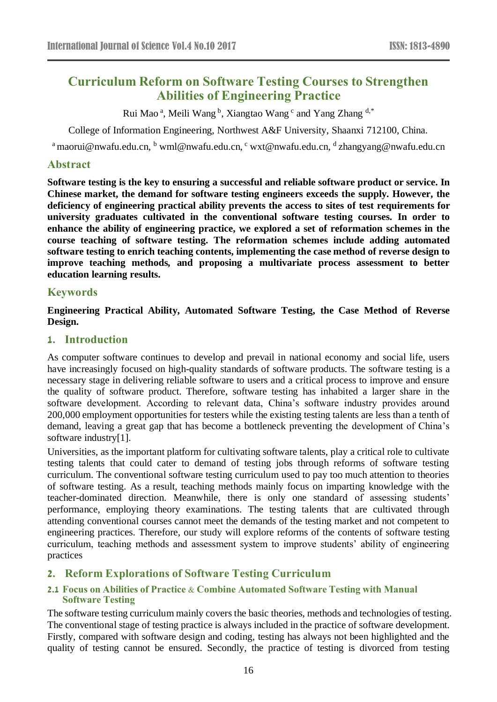# **Curriculum Reform on Software Testing Courses to Strengthen Abilities of Engineering Practice**

Rui Mao<sup>a</sup>, Meili Wang<sup>b</sup>, Xiangtao Wang<sup>c</sup> and Yang Zhang d,\*

College of Information Engineering, Northwest A&F University, Shaanxi 712100, China.

<sup>a</sup> [maorui@nwafu.edu.cn,](mailto:maorui@nwafu.edu.cn) <sup>b</sup> [wml@nwafu.edu.cn,](mailto:wml@nwafu.edu.cn) <sup>c</sup> [wxt@nwafu.edu.cn,](mailto:wxt@nwafu.edu.cn) <sup>d</sup> [zhangyang@nwafu.edu.cn](mailto:zhangyang@nwafu.edu.cn)

## **Abstract**

**Software testing is the key to ensuring a successful and reliable software product or service. In Chinese market, the demand for software testing engineers exceeds the supply. However, the deficiency of engineering practical ability prevents the access to sites of test requirements for university graduates cultivated in the conventional software testing courses. In order to enhance the ability of engineering practice, we explored a set of reformation schemes in the course teaching of software testing. The reformation schemes include adding automated software testing to enrich teaching contents, implementing the case method of reverse design to improve teaching methods, and proposing a multivariate process assessment to better education learning results.**

## **Keywords**

**Engineering Practical Ability, Automated Software Testing, the Case Method of Reverse Design.**

## **1. Introduction**

As computer software continues to develop and prevail in national economy and social life, users have increasingly focused on high-quality standards of software products. The software testing is a necessary stage in delivering reliable software to users and a critical process to improve and ensure the quality of software product. Therefore, software testing has inhabited a larger share in the software development. According to relevant data, China's software industry provides around 200,000 employment opportunities for testers while the existing testing talents are less than a tenth of demand, leaving a great gap that has become a bottleneck preventing the development of China's software industry[1].

Universities, as the important platform for cultivating software talents, play a critical role to cultivate testing talents that could cater to demand of testing jobs through reforms of software testing curriculum. The conventional software testing curriculum used to pay too much attention to theories of software testing. As a result, teaching methods mainly focus on imparting knowledge with the teacher-dominated direction. Meanwhile, there is only one standard of assessing students' performance, employing theory examinations. The testing talents that are cultivated through attending conventional courses cannot meet the demands of the testing market and not competent to engineering practices. Therefore, our study will explore reforms of the contents of software testing curriculum, teaching methods and assessment system to improve students' ability of engineering practices

# **2. Reform Explorations of Software Testing Curriculum**

## **2.1 Focus on Abilities of Practice & Combine Automated Software Testing with Manual Software Testing**

The software testing curriculum mainly covers the basic theories, methods and technologies of testing. The conventional stage of testing practice is always included in the practice of software development. Firstly, compared with software design and coding, testing has always not been highlighted and the quality of testing cannot be ensured. Secondly, the practice of testing is divorced from testing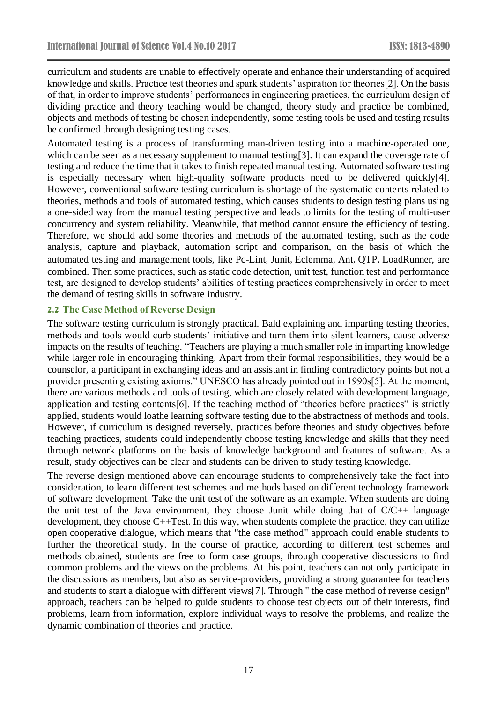curriculum and students are unable to effectively operate and enhance their understanding of acquired knowledge and skills. Practice test theories and spark students' aspiration for theories[2]. On the basis of that, in order to improve students' performances in engineering practices, the curriculum design of dividing practice and theory teaching would be changed, theory study and practice be combined, objects and methods of testing be chosen independently, some testing tools be used and testing results be confirmed through designing testing cases.

Automated testing is a process of transforming man-driven testing into a machine-operated one, which can be seen as a necessary supplement to manual testing[3]. It can expand the coverage rate of testing and reduce the time that it takes to finish repeated manual testing. Automated software testing is especially necessary when high-quality software products need to be delivered quickly[4]. However, conventional software testing curriculum is shortage of the systematic contents related to theories, methods and tools of automated testing, which causes students to design testing plans using a one-sided way from the manual testing perspective and leads to limits for the testing of multi-user concurrency and system reliability. Meanwhile, that method cannot ensure the efficiency of testing. Therefore, we should add some theories and methods of the automated testing, such as the code analysis, capture and playback, automation script and comparison, on the basis of which the automated testing and management tools, like Pc-Lint, Junit, Eclemma, Ant, QTP, LoadRunner, are combined. Then some practices, such as static code detection, unit test, function test and performance test, are designed to develop students' abilities of testing practices comprehensively in order to meet the demand of testing skills in software industry.

#### **2.2 The Case Method of Reverse Design**

The software testing curriculum is strongly practical. Bald explaining and imparting testing theories, methods and tools would curb students' initiative and turn them into silent learners, cause adverse impacts on the results of teaching. "Teachers are playing a much smaller role in imparting knowledge while larger role in encouraging thinking. Apart from their formal responsibilities, they would be a counselor, a participant in exchanging ideas and an assistant in finding contradictory points but not a provider presenting existing axioms." UNESCO has already pointed out in 1990s[5]. At the moment, there are various methods and tools of testing, which are closely related with development language, application and testing contents[6]. If the teaching method of "theories before practices" is strictly applied, students would loathe learning software testing due to the abstractness of methods and tools. However, if curriculum is designed reversely, practices before theories and study objectives before teaching practices, students could independently choose testing knowledge and skills that they need through network platforms on the basis of knowledge background and features of software. As a result, study objectives can be clear and students can be driven to study testing knowledge.

The reverse design mentioned above can encourage students to comprehensively take the fact into consideration, to learn different test schemes and methods based on different technology framework of software development. Take the unit test of the software as an example. When students are doing the unit test of the Java environment, they choose Junit while doing that of  $C/C++$  language development, they choose C++Test. In this way, when students complete the practice, they can utilize open cooperative dialogue, which means that "the case method" approach could enable students to further the theoretical study. In the course of practice, according to different test schemes and methods obtained, students are free to form case groups, through cooperative discussions to find common problems and the views on the problems. At this point, teachers can not only participate in the discussions as members, but also as service-providers, providing a strong guarantee for teachers and students to start a dialogue with different views[7]. Through " the case method of reverse design" approach, teachers can be helped to guide students to choose test objects out of their interests, find problems, learn from information, explore individual ways to resolve the problems, and realize the dynamic combination of theories and practice.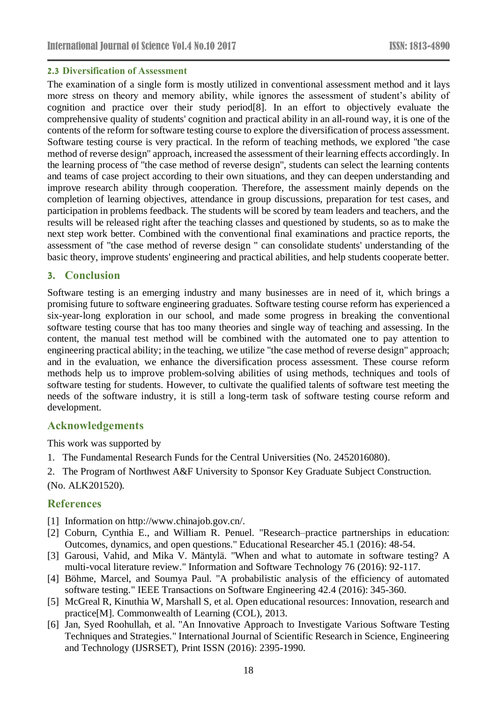#### **2.3 Diversification of Assessment**

The examination of a single form is mostly utilized in conventional assessment method and it lays more stress on theory and memory ability, while ignores the assessment of student's ability of cognition and practice over their study period[8]. In an effort to objectively evaluate the comprehensive quality of students' cognition and practical ability in an all-round way, it is one of the contents of the reform for software testing course to explore the diversification of process assessment. Software testing course is very practical. In the reform of teaching methods, we explored "the case method of reverse design" approach, increased the assessment of their learning effects accordingly. In the learning process of "the case method of reverse design", students can select the learning contents and teams of case project according to their own situations, and they can deepen understanding and improve research ability through cooperation. Therefore, the assessment mainly depends on the completion of learning objectives, attendance in group discussions, preparation for test cases, and participation in problems feedback. The students will be scored by team leaders and teachers, and the results will be released right after the teaching classes and questioned by students, so as to make the next step work better. Combined with the conventional final examinations and practice reports, the assessment of "the case method of reverse design " can consolidate students' understanding of the basic theory, improve students' engineering and practical abilities, and help students cooperate better.

#### **3. Conclusion**

Software testing is an emerging industry and many businesses are in need of it, which brings a promising future to software engineering graduates. Software testing course reform has experienced a six-year-long exploration in our school, and made some progress in breaking the conventional software testing course that has too many theories and single way of teaching and assessing. In the content, the manual test method will be combined with the automated one to pay attention to engineering practical ability; in the teaching, we utilize "the case method of reverse design" approach; and in the evaluation, we enhance the diversification process assessment. These course reform methods help us to improve problem-solving abilities of using methods, techniques and tools of software testing for students. However, to cultivate the qualified talents of software test meeting the needs of the software industry, it is still a long-term task of software testing course reform and development.

#### **Acknowledgements**

This work was supported by

- 1. The Fundamental Research Funds for the Central Universities (No. 2452016080).
- 2. The Program of Northwest A&F University to Sponsor Key Graduate Subject Construction. (No. ALK201520).

# **References**

- [1] Information on [http://www.chinajob.gov.cn/.](http://www.chinajob.gov.cn/)
- [2] Coburn, Cynthia E., and William R. Penuel. "Research–practice partnerships in education: Outcomes, dynamics, and open questions." Educational Researcher 45.1 (2016): 48-54.
- [3] Garousi, Vahid, and Mika V. Mäntylä. "When and what to automate in software testing? A multi-vocal literature review." Information and Software Technology 76 (2016): 92-117.
- [4] Böhme, Marcel, and Soumya Paul. "A probabilistic analysis of the efficiency of automated software testing." IEEE Transactions on Software Engineering 42.4 (2016): 345-360.
- [5] McGreal R, Kinuthia W, Marshall S, et al. Open educational resources: Innovation, research and practice[M]. Commonwealth of Learning (COL), 2013.
- [6] Jan, Syed Roohullah, et al. "An Innovative Approach to Investigate Various Software Testing Techniques and Strategies." International Journal of Scientific Research in Science, Engineering and Technology (IJSRSET), Print ISSN (2016): 2395-1990.